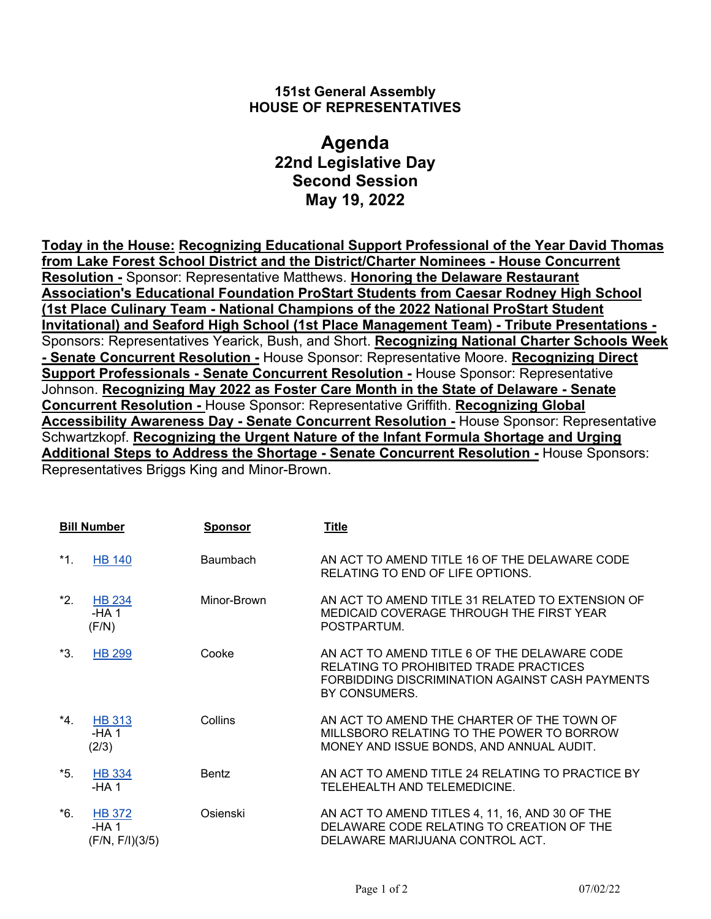## **151st General Assembly HOUSE OF REPRESENTATIVES**

## **Agenda 22nd Legislative Day Second Session May 19, 2022**

**Today in the House: Recognizing Educational Support Professional of the Year David Thomas from Lake Forest School District and the District/Charter Nominees - House Concurrent Resolution -** Sponsor: Representative Matthews. **Honoring the Delaware Restaurant Association's Educational Foundation ProStart Students from Caesar Rodney High School (1st Place Culinary Team - National Champions of the 2022 National ProStart Student Invitational) and Seaford High School (1st Place Management Team) - Tribute Presentations -** Sponsors: Representatives Yearick, Bush, and Short. **Recognizing National Charter Schools Week - Senate Concurrent Resolution -** House Sponsor: Representative Moore. **Recognizing Direct Support Professionals - Senate Concurrent Resolution -** House Sponsor: Representative Johnson. **Recognizing May 2022 as Foster Care Month in the State of Delaware - Senate Concurrent Resolution -** House Sponsor: Representative Griffith. **Recognizing Global Accessibility Awareness Day - Senate Concurrent Resolution -** House Sponsor: Representative Schwartzkopf. **Recognizing the Urgent Nature of the Infant Formula Shortage and Urging Additional Steps to Address the Shortage - Senate Concurrent Resolution -** House Sponsors: Representatives Briggs King and Minor-Brown.

| <b>Bill Number</b> |                                           | <b>Sponsor</b>  | <b>Title</b>                                                                                                                                               |
|--------------------|-------------------------------------------|-----------------|------------------------------------------------------------------------------------------------------------------------------------------------------------|
| *1.                | <b>HB 140</b>                             | <b>Baumbach</b> | AN ACT TO AMEND TITLE 16 OF THE DELAWARE CODE<br>RELATING TO END OF LIFE OPTIONS.                                                                          |
| *2.                | <b>HB 234</b><br>$-HA1$<br>(F/N)          | Minor-Brown     | AN ACT TO AMEND TITLE 31 RELATED TO EXTENSION OF<br>MEDICAID COVERAGE THROUGH THE FIRST YEAR<br>POSTPARTUM.                                                |
| *3.                | <b>HB 299</b>                             | Cooke           | AN ACT TO AMEND TITLE 6 OF THE DELAWARE CODE<br>RELATING TO PROHIBITED TRADE PRACTICES<br>FORBIDDING DISCRIMINATION AGAINST CASH PAYMENTS<br>BY CONSUMERS. |
| *4.                | <b>HB 313</b><br>$-HA1$<br>(2/3)          | Collins         | AN ACT TO AMEND THE CHARTER OF THE TOWN OF<br>MILLSBORO RELATING TO THE POWER TO BORROW<br>MONEY AND ISSUE BONDS, AND ANNUAL AUDIT.                        |
| *5.                | <b>HB 334</b><br>-HA 1                    | <b>Bentz</b>    | AN ACT TO AMEND TITLE 24 RELATING TO PRACTICE BY<br>TELEHEALTH AND TELEMEDICINE.                                                                           |
| *6.                | <b>HB 372</b><br>-HA 1<br>(F/N, F/I)(3/5) | Osienski        | AN ACT TO AMEND TITLES 4, 11, 16, AND 30 OF THE<br>DELAWARE CODE RELATING TO CREATION OF THE<br>DELAWARE MARIJUANA CONTROL ACT.                            |